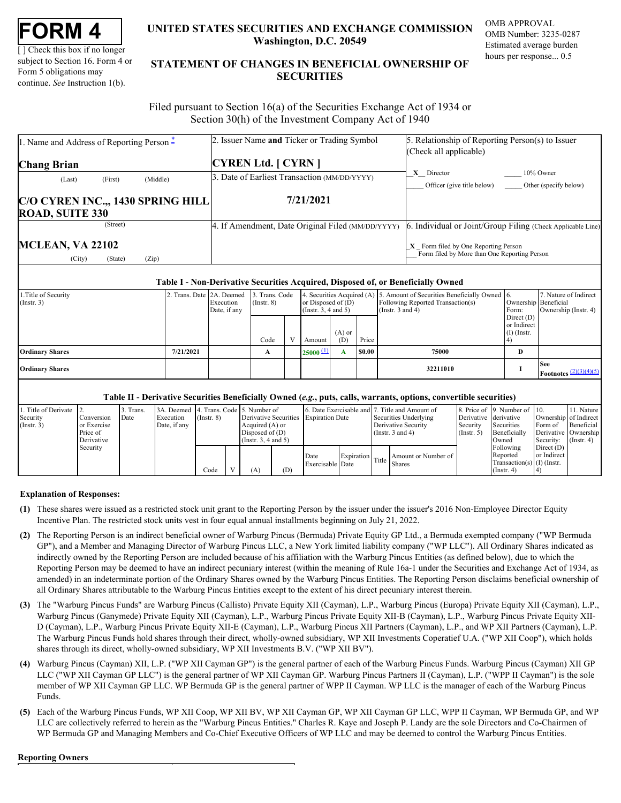| FORM |  |
|------|--|
|------|--|

[ ] Check this box if no longer subject to Section 16. Form 4 or Form 5 obligations may continue. *See* Instruction 1(b).

# **UNITED STATES SECURITIES AND EXCHANGE COMMISSION OMB APPROVAL Washington, D.C. 20549**

OMB Number: 3235-0287 Estimated average burden hours per response... 0.5

# **UNITED STATES SECURITIES AND EXCHANGE COMMISSION**<br>
UNITED STATES SECURITIES AND EXCHANGE COMMISSION<br>
UNERSITY OF SUBJECT AND THE STATEMENT OF CHANGES IN BENEFICIAL OWNERSHIP OF<br>
Form 5 obligations may<br>
continue. See Instr **STATEMENT OF CHANGES IN BENEFICIAL OWNERSHIP OF SECURITIES** TATES SECURITIES AND EXCHANGE COMMISSION OMB APPROVAL<br>Washington, D.C. 20549<br>Estimated average burden<br>ENT OF CHANGES IN BENEFICIAL OWNERSHIP OF<br>SECURITIES

 Filed pursuant to Section 16(a) of the Securities Exchange Act of 1934 or Section 30(h) of the Investment Company Act of 1940

| . Name and Address of Reporting Person – | 2. Issuer Name and Ticker or Trading Symbol       | 5. Relationship of Reporting Person(s) to Issuer                                       |
|------------------------------------------|---------------------------------------------------|----------------------------------------------------------------------------------------|
| <b>Chang Brian</b>                       | <b>CYREN Ltd.</b> [ CYRN ]                        | (Check all applicable)                                                                 |
| (Middle)<br>(First)<br>(Last)            | 3. Date of Earliest Transaction (MM/DD/YYYY)      | X Director<br>$10\%$ Owner<br>Officer (give title below)<br>Other (specify below)      |
| C/O CYREN INC.,, 1430 SPRING HILL        | 7/21/2021                                         |                                                                                        |
| <b>ROAD, SUITE 330</b>                   |                                                   |                                                                                        |
| (Street)                                 | 4. If Amendment, Date Original Filed (MM/DD/YYYY) | 6. Individual or Joint/Group Filing (Check Applicable Line)                            |
| <b>MCLEAN, VA 22102</b>                  |                                                   | $X$ Form filed by One Reporting Person<br>Form filed by More than One Reporting Person |

#### **Table I - Non-Derivative Securities Acquired, Disposed of, or Beneficially Owned**

| 1. Title of Security<br>$($ Instr. 3 $)$ | 2. Trans. Date 2A. Deemed | Execution<br>Date, if any | 3. Trans. Code<br>$($ Instr. $8)$ |               | or Disposed of $(D)$<br>$($ Instr. 3, 4 and 5 $)$ |        | 4. Securities Acquired (A) 5. Amount of Securities Beneficially Owned 6.<br>Following Reported Transaction(s)<br>(Instr. $3$ and $4$ ) | Ownership Beneficial<br>Form:                | 7. Nature of Indirect<br>Ownership (Instr. 4)           |
|------------------------------------------|---------------------------|---------------------------|-----------------------------------|---------------|---------------------------------------------------|--------|----------------------------------------------------------------------------------------------------------------------------------------|----------------------------------------------|---------------------------------------------------------|
|                                          |                           |                           | Code                              | Amount        | $(A)$ or<br>(D)                                   | Price  |                                                                                                                                        | Direct $(D)$<br>or Indirect<br>$(I)$ (Instr. |                                                         |
| <b>Ordinary Shares</b>                   | 7/21/2021                 |                           | A                                 | $25000 \pm 1$ |                                                   | \$0.00 | 75000                                                                                                                                  | D                                            |                                                         |
| <b>Ordinary Shares</b>                   |                           |                           |                                   |               |                                                   |        | 32211010                                                                                                                               |                                              | <b>See</b><br><b>Footnotes</b> $\frac{(2)(3)(4)(5)}{2}$ |

## **Table II - Derivative Securities Beneficially Owned (***e.g.***, puts, calls, warrants, options, convertible securities)**

| 1. Title of Derivate 2.<br>Security<br>Conversion<br>(Insert. 3)<br>or Exercise<br>Price of |                        | Trans.<br>Date | Execution<br>Date, if any | 3A. Deemed 4. Trans. Code 5. Number of<br>$($ Instr. $8)$ |  | Derivative Securities Expiration Date<br>Acquired (A) or<br>Disposed of $(D)$ |     | 6. Date Exercisable and 7. Title and Amount of |  | Securities Underlying<br>Derivative Security<br>(Instr. $3$ and $4$ ) |                                           | Derivative derivative<br>Security<br>$($ Instr. 5 $)$ | Securities<br>Beneficially                                                         | 8. Price of 9. Number of 10.<br>Ownership of Indirect<br>Form of<br>Derivative Ownership | 11. Nature<br>Beneficial      |
|---------------------------------------------------------------------------------------------|------------------------|----------------|---------------------------|-----------------------------------------------------------|--|-------------------------------------------------------------------------------|-----|------------------------------------------------|--|-----------------------------------------------------------------------|-------------------------------------------|-------------------------------------------------------|------------------------------------------------------------------------------------|------------------------------------------------------------------------------------------|-------------------------------|
|                                                                                             | Derivative<br>Security |                |                           | Code                                                      |  | (Insert. 3.4 and 5)<br>A)                                                     | (D) | Date<br>Exercisable Date                       |  |                                                                       | Expiration Title Amount or Number of Bate |                                                       | Owned<br>Following<br>Reported<br>Transaction(s) $(I)$ (Instr.<br>$($ Instr. 4 $)$ | Direct $(D)$<br>or Indirect                                                              | Security: $(\text{Instr. 4})$ |

#### **Explanation of Responses:**

- <span id="page-0-0"></span>**(1)** These shares were issued as a restricted stock unit grant to the Reporting Person by the issuer under the issuer's 2016 Non-Employee Director Equity Incentive Plan. The restricted stock units vest in four equal annual installments beginning on July 21, 2022.
- <span id="page-0-1"></span>**(2)** The Reporting Person is an indirect beneficial owner of Warburg Pincus (Bermuda) Private Equity GP Ltd., a Bermuda exempted company ("WP Bermuda GP"), and a Member and Managing Director of Warburg Pincus LLC, a New York limited liability company ("WP LLC"). All Ordinary Shares indicated as indirectly owned by the Reporting Person are included because of his affiliation with the Warburg Pincus Entities (as defined below), due to which the Reporting Person may be deemed to have an indirect pecuniary interest (within the meaning of Rule 16a-1 under the Securities and Exchange Act of 1934, as amended) in an indeterminate portion of the Ordinary Shares owned by the Warburg Pincus Entities. The Reporting Person disclaims beneficial ownership of all Ordinary Shares attributable to the Warburg Pincus Entities except to the extent of his direct pecuniary interest therein.
- <span id="page-0-2"></span>**(3)** The "Warburg Pincus Funds" are Warburg Pincus (Callisto) Private Equity XII (Cayman), L.P., Warburg Pincus (Europa) Private Equity XII (Cayman), L.P., Warburg Pincus (Ganymede) Private Equity XII (Cayman), L.P., Warburg Pincus Private Equity XII-B (Cayman), L.P., Warburg Pincus Private Equity XII-D (Cayman), L.P., Warburg Pincus Private Equity XII-E (Cayman), L.P., Warburg Pincus XII Partners (Cayman), L.P., and WP XII Partners (Cayman), L.P. The Warburg Pincus Funds hold shares through their direct, wholly-owned subsidiary, WP XII Investments Coperatief U.A. ("WP XII Coop"), which holds shares through its direct, wholly-owned subsidiary, WP XII Investments B.V. ("WP XII BV").
- <span id="page-0-3"></span>**(4)** Warburg Pincus (Cayman) XII, L.P. ("WP XII Cayman GP") is the general partner of each of the Warburg Pincus Funds. Warburg Pincus (Cayman) XII GP LLC ("WP XII Cayman GP LLC") is the general partner of WP XII Cayman GP. Warburg Pincus Partners II (Cayman), L.P. ("WPP II Cayman") is the sole member of WP XII Cayman GP LLC. WP Bermuda GP is the general partner of WPP II Cayman. WP LLC is the manager of each of the Warburg Pincus Funds.
- <span id="page-0-4"></span>**(5)** Each of the Warburg Pincus Funds, WP XII Coop, WP XII BV, WP XII Cayman GP, WP XII Cayman GP LLC, WPP II Cayman, WP Bermuda GP, and WP LLC are collectively referred to herein as the "Warburg Pincus Entities." Charles R. Kaye and Joseph P. Landy are the sole Directors and Co-Chairmen of WP Bermuda GP and Managing Members and Co-Chief Executive Officers of WP LLC and may be deemed to control the Warburg Pincus Entities.